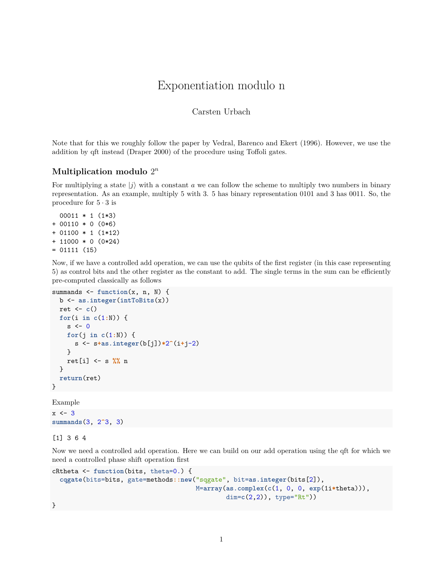# Exponentiation modulo n

#### Carsten Urbach

Note that for this we roughly follow the paper by Vedral, Barenco and Ekert (1996). However, we use the addition by qft instead (Draper 2000) of the procedure using Toffoli gates.

### **Multiplication modulo** 2 *n*

For multiplying a state  $|j\rangle$  with a constant *a* we can follow the scheme to multiply two numbers in binary representation. As an example, multiply 5 with 3. 5 has binary representation 0101 and 3 has 0011. So, the procedure for  $5 \cdot 3$  is

```
00011 * 1 (1*3)
+ 00110 * 0 (0*6)
+ 01100 * 1 (1*12)
+ 11000 * 0 (0*24)
= 01111 (15)
```
Now, if we have a controlled add operation, we can use the qubits of the first register (in this case representing 5) as control bits and the other register as the constant to add. The single terms in the sum can be efficiently pre-computed classically as follows

```
summands <- function(x, n, N) {
  b <- as.integer(intToBits(x))
  ret <- c()
  for(i in c(1:N)) {
    s \leftarrow 0for(j in c(1:N)) {
      s <- s+as.integer(b[j])*2^(i+j-2)
    }
    ret[i] <- s %% n
  }
  return(ret)
}
```
Example

 $x \leftarrow 3$ **summands**(3, 2**^**3, 3)

[1] 3 6 4

Now we need a controlled add operation. Here we can build on our add operation using the qft for which we need a controlled phase shift operation first

```
cRtheta <- function(bits, theta=0.) {
  cqgate(bits=bits, gate=methods::new("sqgate", bit=as.integer(bits[2]),
                                      M=array(as.complex(c(1, 0, 0, exp(1i*theta))),
                                              dim=c(2,2)), type="Rt"))
```
}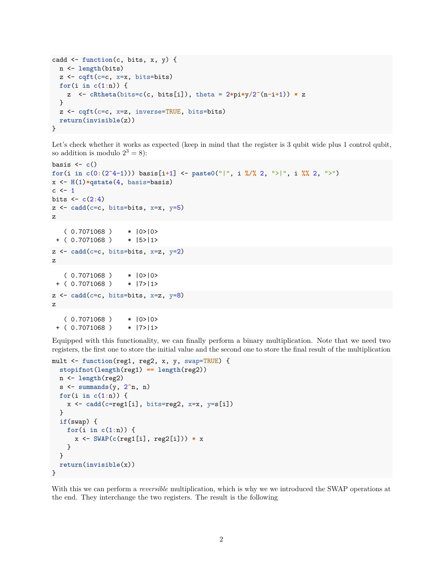```
cadd <- function(c, bits, x, y) {
 n <- length(bits)
 z <- cqft(c=c, x=x, bits=bits)
 for(i in c(1:n)) {
   z <- cRtheta(bits=c(c, bits[i]), theta = 2*pi*y/2^(n-i+1)) * z
  }
  z <- cqft(c=c, x=z, inverse=TRUE, bits=bits)
 return(invisible(z))
}
```
Let's check whether it works as expected (keep in mind that the register is 3 qubit wide plus 1 control qubit, so addition is modulo  $2^3 = 8$ :

```
basis <- c()
for(i in c(0:(2^4-1))) basis[i+1] <- paste0("|", i %/% 2, ">|", i %% 2, ">")
x <- H(1)*qstate(4, basis=basis)
c \leftarrow 1bits <- c(2:4)
z <- cadd(c=c, bits=bits, x=x, y=5)
z
   (0.7071068) * |0>|0>
+ ( 0.7071068 ) * |5>|1>
z <- cadd(c=c, bits=bits, x=z, y=2)
z
   ( 0.7071068 ) * |0>|0>
+ ( 0.7071068 ) * |7>|1>
z <- cadd(c=c, bits=bits, x=z, y=8)
z
   ( 0.7071068 ) * |0>|0>
```
+ ( 0.7071068 ) \* |7>|1>

Equipped with this functionality, we can finally perform a binary multiplication. Note that we need two registers, the first one to store the initial value and the second one to store the final result of the multiplication

```
mult <- function(reg1, reg2, x, y, swap=TRUE) {
  stopifnot(length(reg1) == length(reg2))
 n <- length(reg2)
 s <- summands(y, 2^n, n)
 for(i in c(1:n)) {
   x <- cadd(c=reg1[i], bits=reg2, x=x, y=s[i])
  }
  if(swap) {
   for(i in c(1:n)) {
      x <- SWAP(c(reg1[i], reg2[i])) * x
   }
  }
  return(invisible(x))
}
```
With this we can perform a *reversible* multiplication, which is why we we introduced the SWAP operations at the end. They interchange the two registers. The result is the following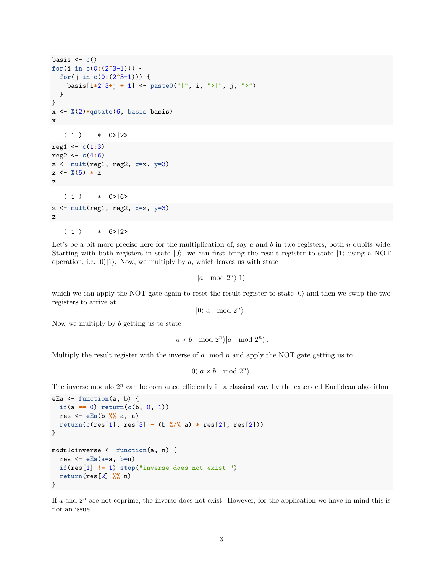```
basis <- c()
for(i in c(0:(2^3-1))) {
 for(j in c(0:(2^3-1))) {
    basis[i*2^3+j + 1] <- paste0("|", i, ">|", j, ">")
 }
}
x <- X(2)*qstate(6, basis=basis)
x
   (1) * |0>|2>reg1 <- c(1:3)
reg2 <- c(4:6)
z <- mult(reg1, reg2, x=x, y=3)
z \leftarrow \chi(5) * zz
   (1) * |0\rangle = 16 >
z <- mult(reg1, reg2, x=z, y=3)
z
   (1) * |6>|2>
```
Let's be a bit more precise here for the multiplication of, say *a* and *b* in two registers, both *n* qubits wide. Starting with both registers in state  $|0\rangle$ , we can first bring the result register to state  $|1\rangle$  using a NOT operation, i.e.  $|0\rangle|1\rangle$ . Now, we multiply by *a*, which leaves us with state

 $|a \mod 2^n\rangle|1\rangle$ 

which we can apply the NOT gate again to reset the result register to state  $|0\rangle$  and then we swap the two registers to arrive at

 $|0\rangle|a \mod 2^n\rangle$ .

Now we multiply by *b* getting us to state

 $|a \times b \mod 2^n|$  mod  $2^n$ .

Multiply the result register with the inverse of *a* mod *n* and apply the NOT gate getting us to

```
|0\rangle|a \times b \mod 2^n\rangle.
```
The inverse modulo  $2^n$  can be computed efficiently in a classical way by the extended Euclidean algorithm

```
eEa <- function(a, b) {
  if(a == 0) return(c(b, 0, 1))res <- eEa(b %% a, a)
  return(c(res[1], res[3] - (b %/% a) * res[2], res[2]))
}
moduloinverse <- function(a, n) {
  res <- eEa(a=a, b=n)
  if(res[1] != 1) stop("inverse does not exist!")
  return(res[2] %% n)
}
```
If  $a$  and  $2^n$  are not coprime, the inverse does not exist. However, for the application we have in mind this is not an issue.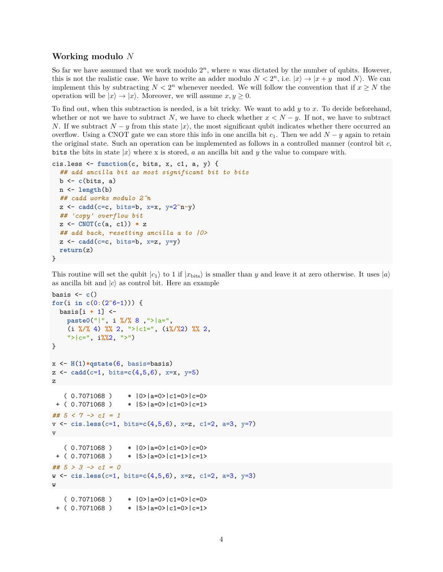#### **Working modulo** *N*

So far we have assumed that we work modulo  $2^n$ , where *n* was dictated by the number of qubits. However, this is not the realistic case. We have to write an adder modulo  $N < 2<sup>n</sup>$ , i.e.  $|x\rangle \rightarrow |x + y \mod N$ . We can implement this by subtracting  $N < 2<sup>n</sup>$  whenever needed. We will follow the convention that if  $x \geq N$  the operation will be  $|x\rangle \rightarrow |x\rangle$ . Moreover, we will assume  $x, y \geq 0$ .

To find out, when this subtraction is needed, is a bit tricky. We want to add *y* to *x*. To decide beforehand, whether or not we have to subtract N, we have to check whether  $x < N - y$ . If not, we have to subtract *N*. If we subtract  $N - y$  from this state  $|x\rangle$ , the most significant qubit indicates whether there occurred an overflow. Using a CNOT gate we can store this info in one ancilla bit  $c_1$ . Then we add  $N - y$  again to retain the original state. Such an operation can be implemented as follows in a controlled manner (control bit *c*, bits the bits in state  $|x\rangle$  where x is stored, a an ancilla bit and y the value to compare with.

```
cis.less <- function(c, bits, x, c1, a, y) {
  ## add ancilla bit as most significant bit to bits
  b <- c(bits, a)
  n <- length(b)
  ## cadd works modulo 2^n
  z <- cadd(c=c, bits=b, x=x, y=2^n-y)
  ## 'copy' overflow bit
  z <- CNOT(c(a, c1)) * z
  ## add back, resetting ancilla a to |0>
  z \leftarrow \text{cadd}(\text{c=c}, \text{bits=b}, \text{x=z}, \text{y=y})return(z)
}
```
This routine will set the qubit  $|c_1\rangle$  to 1 if  $|x_{\text{bits}}\rangle$  is smaller than *y* and leave it at zero otherwise. It uses  $|a\rangle$ as ancilla bit and  $|c\rangle$  as control bit. Here an example

```
basis \leftarrow c()for(i in c(0:(2^6-1))) {
  basis[i + 1] <-
   paste0("|", i %/% 8 ,">|a=",
    (i %/% 4) %% 2, ">|c1=", (i%/%2) %% 2,
    ">|c=", i%%2, ">")
}
x <- H(1)*qstate(6, basis=basis)
z <- cadd(c=1, bits=c(4,5,6), x=x, y=5)
z
   (0.7071068) * |0>|a=0>|c=0>|c=0>+ ( 0.7071068 ) * |5>|a=0>|c1=0>|c=1>
## 5 < 7 -> c1 = 1
v <- cis.less(c=1, bits=c(4,5,6), x=z, c1=2, a=3, y=7)
v
   (0.7071068) * |0\rangle|a=0>|c1=0>|c=0>
+ ( 0.7071068 ) * |5>|a=0>|c1=1>|c=1>
## 5 > 3 -> c1 = 0
w <- cis.less(c=1, bits=c(4,5,6), x=z, c1=2, a=3, y=3)
w
   (0.7071068) * |0\rangle|a=0>|c1=0>|c=0>
+ ( 0.7071068 ) * |5>|a=0>|c1=0>|c=1>
```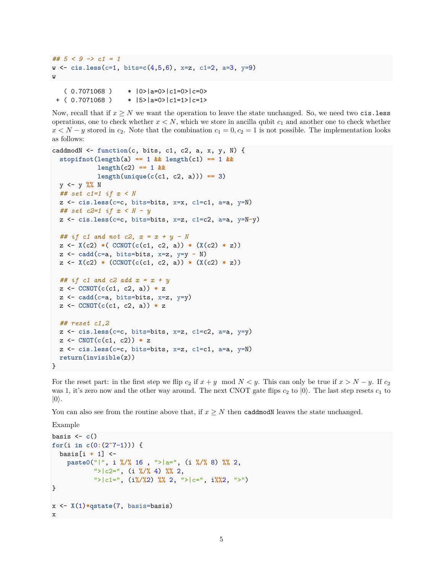```
## 5 < 9 -> c1 = 1
w <- cis.less(c=1, bits=c(4,5,6), x=z, c1=2, a=3, y=9)
w
```
 $(0.7071068)$  \*  $|0\rangle$ |a=0>|c1=0>|c=0> + ( 0.7071068 ) \* |5>|a=0>|c1=1>|c=1>

Now, recall that if  $x \geq N$  we want the operation to leave the state unchanged. So, we need two cis.less operations, one to check whether  $x < N$ , which we store in ancilla qubit  $c<sub>1</sub>$  and another one to check whether  $x < N - y$  stored in *c*<sub>2</sub>. Note that the combination *c*<sub>1</sub> = 0*, c*<sub>2</sub> = 1 is not possible. The implementation looks as follows:

```
caddmodN <- function(c, bits, c1, c2, a, x, y, N) {
  stopifnot(length(a) == 1 && length(c1) == 1 &&
            length(c2) == 1 &&
            length(unique(c(c1, c2, a))) == 3)
  y <- y %% N
  ## set c1=1 if x < N
  z <- cis.less(c=c, bits=bits, x=x, c1=c1, a=a, y=N)
  ## set c2=1 if x < N - y
  z <- cis.less(c=c, bits=bits, x=z, c1=c2, a=a, y=N-y)
  ## if c1 and not c2, x = x + y - N
  z <- X(c2) *( CCNOT(c(c1, c2, a)) * (X(c2) * z))
  z <- cadd(c=a, bits=bits, x=z, y=y - N)
  z <- X(c2) * (CCNOT(c(c1, c2, a)) * (X(c2) * z))
  ## if c1 and c2 add x = x + y
  z <- CCNOT(c(c1, c2, a)) * z
  z <- cadd(c=a, bits=bits, x=z, y=y)
  z <- CCNOT(c(c1, c2, a)) * z
  ## reset c1,2
  z <- cis.less(c=c, bits=bits, x=z, c1=c2, a=a, y=y)
  z <- CNOT(c(c1, c2)) * z
  z <- cis.less(c=c, bits=bits, x=z, c1=c1, a=a, y=N)
  return(invisible(z))
}
```
For the reset part: in the first step we flip  $c_2$  if  $x + y \mod N < y$ . This can only be true if  $x > N - y$ . If  $c_2$ was 1, it's zero now and the other way around. The next CNOT gate flips  $c_2$  to  $|0\rangle$ . The last step resets  $c_1$  to  $|0\rangle$ .

You can also see from the routine above that, if  $x \geq N$  then caddmodN leaves the state unchanged.

```
Example
basis <- c()
for(i in c(0:(2^7-1))) {
  basis[i + 1] <-
   paste0("|", i %/% 16 , ">|a=", (i %/% 8) %% 2,
           ">|c2=", (i %/% 4) %% 2,
           ">|c1=", (i%/%2) %% 2, ">|c=", i%%2, ">")
}
```
x <- **X**(1)**\*qstate**(7, basis=basis)

x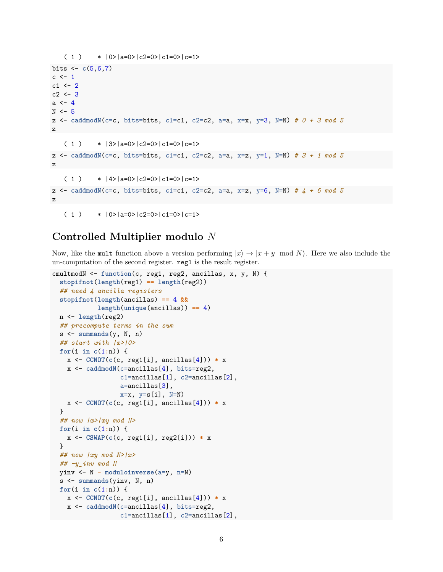```
( 1 ) * |0\rangle|a=0\rangle|c2=0\rangle|c1=0\rangle|c=1\ranglebits \leftarrow c(5, 6, 7)c \leq -1c1 \leftarrow 2c2 \le -3a \leq 4N < -5z <- caddmodN(c=c, bits=bits, c1=c1, c2=c2, a=a, x=x, y=3, N=N) # 0 + 3 mod 5
z
   ( 1 ) * |3>|a=0>|c2=0>|c1=0>|c=1>z <- caddmodN(c=c, bits=bits, c1=c1, c2=c2, a=a, x=z, y=1, N=N) # 3 + 1 mod 5
z
   ( 1 ) * |4>|a=0>|c=0>|c=1=0>|c=1>z <- caddmodN(c=c, bits=bits, c1=c1, c2=c2, a=a, x=z, y=6, N=N) # 4 + 6 mod 5
z
   ( 1 ) * |0\rangle|a=0\rangle|c2=0\rangle|c1=0\rangle|c=1\rangle
```
## **Controlled Multiplier modulo** *N*

Now, like the mult function above a version performing  $|x\rangle \rightarrow |x + y \mod N$ . Here we also include the un-computation of the second register. reg1 is the result register.

```
cmultmodN <- function(c, reg1, reg2, ancillas, x, y, N) {
  stopifnot(length(reg1) == length(reg2))
  ## need 4 ancilla registers
 stopifnot(length(ancillas) == 4 &&
            length(unique(ancillas)) == 4)
 n <- length(reg2)
  ## precompute terms in the sum
 s <- summands(y, N, n)
  ## start with |x>|0>
 for(i in c(1:n)) {
   x <- CCNOT(c(c, reg1[i], ancillas[4])) * x
   x <- caddmodN(c=ancillas[4], bits=reg2,
                  c1=ancillas[1], c2=ancillas[2],
                  a=ancillas[3],
                  x=x, y=s[i], N=Nx <- CCNOT(c(c, reg1[i], ancillas[4])) * x
 }
  ## now |x>|xy mod N>
  for(i in c(1:n)) {
   x <- CSWAP(c(c, reg1[i], reg2[i])) * x
  }
  ## now |xy mod N>|x>
  ## -y_inv mod N
  yinv <- N - moduloinverse(a=y, n=N)
  s <- summands(yinv, N, n)
 for(i in c(1:n)) {
   x <- CCNOT(c(c, reg1[i], ancillas[4])) * x
   x <- caddmodN(c=ancillas[4], bits=reg2,
                  c1=ancillas[1], c2=ancillas[2],
```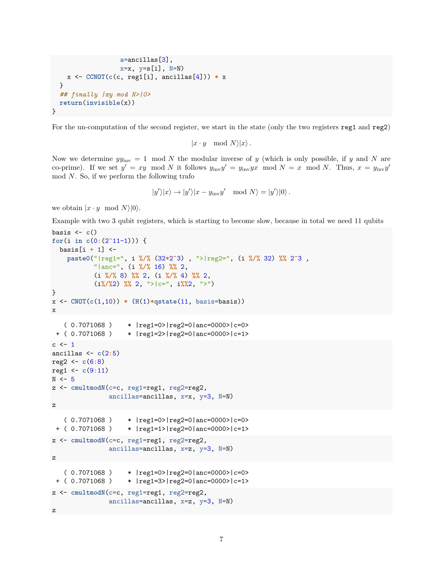```
a=ancillas[3],
                  x=x, y=s[i], N=Nx <- CCNOT(c(c, reg1[i], ancillas[4])) * x
 }
  ## finally |xy mod N>|0>
  return(invisible(x))
}
```
For the un-computation of the second register, we start in the state (only the two registers reg1 and reg2)

```
|x \cdot y \mod N\rangle |x\rangle.
```
Now we determine  $yy_{\text{inv}} = 1 \mod N$  the modular inverse of *y* (which is only possible, if *y* and *N* are co-prime). If we set  $y' = xy \mod N$  it follows  $y_{\text{inv}}y' = y_{\text{inv}}yx \mod N = x \mod N$ . Thus,  $x = y_{\text{inv}}y'$ mod *N*. So, if we perform the following trafo

$$
|y'\rangle|x\rangle \to |y'\rangle|x - y_{\rm inv}y' \mod N\rangle = |y'\rangle|0\rangle.
$$

we obtain  $|x \cdot y \mod N|0\rangle$ .

Example with two 3 qubit registers, which is starting to become slow, because in total we need 11 qubits

```
basis \leftarrow c()for(i in c(0:(2^11-1))) {
  basis[i + 1] <-
    paste0("|reg1=", i %/% (32*2^3) , ">|reg2=", (i %/% 32) %% 2^3 ,
           "|anc=", (i %/% 16) %% 2,
           (i %/% 8) %% 2, (i %/% 4) %% 2,
           (i%/%2) %% 2, ">|c=", i%%2, ">")
}
x <- CNOT(c(1,10)) * (H(1)*qstate(11, basis=basis))
x
   ( 0.7071068 ) * |reg1=0>|reg2=0|anc=0000>|c=0>
+ ( 0.7071068 ) * |reg1=2>|reg2=0|anc=0000>|c=1>
c \leftarrow 1ancillas <- c(2:5)
reg2 <- c(6:8)
reg1 <- c(9:11)
N \le -5z <- cmultmodN(c=c, reg1=reg1, reg2=reg2,
               ancillas=ancillas, x=x, y=3, N=N)
z
   ( 0.7071068 ) * |reg1=0>|reg2=0|anc=0000>|c=0>
 + ( 0.7071068 ) * |reg1=1>|reg2=0|anc=0000>|c=1>
z <- cmultmodN(c=c, reg1=reg1, reg2=reg2,
               ancillas=ancillas, x=z, y=3, N=N)
z
   ( 0.7071068 ) * |reg1=0>|reg2=0|anc=0000>|c=0>
 + ( 0.7071068 ) * |reg1=3>|reg2=0|anc=0000>|c=1>
z <- cmultmodN(c=c, reg1=reg1, reg2=reg2,
               ancillas=ancillas, x=z, y=3, N=N)
z
```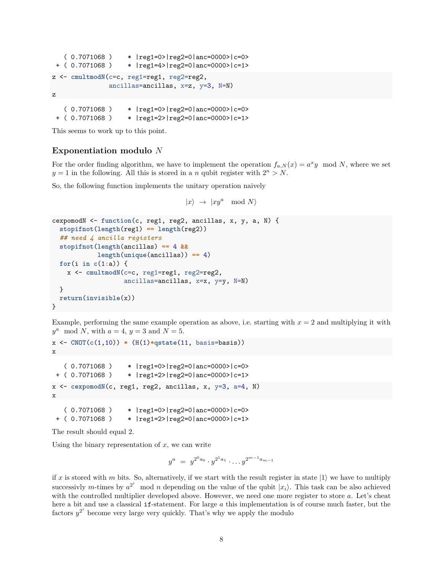```
( 0.7071068 ) * |reg1=0>|reg2=0|anc=0000>|c=0>
+ ( 0.7071068 ) * |reg1=4>|reg2=0|anc=0000>|c=1>
z <- cmultmodN(c=c, reg1=reg1, reg2=reg2,
              ancillas=ancillas, x=z, y=3, N=N)
z
   ( 0.7071068 ) * |reg1=0>|reg2=0|anc=0000>|c=0>
```
+ ( 0.7071068 ) \* |reg1=2>|reg2=0|anc=0000>|c=1>

This seems to work up to this point.

#### **Exponentiation modulo** *N*

For the order finding algorithm, we have to implement the operation  $f_{a,N}(x) = a^x y \mod N$ , where we set  $y = 1$  in the following. All this is stored in a *n* qubit register with  $2^n > N$ .

So, the following function implements the unitary operation naively

```
|x\rangle \rightarrow |xy^a \mod N\rangle
```

```
cexpomodN <- function(c, reg1, reg2, ancillas, x, y, a, N) {
  stopifnot(length(reg1) == length(reg2))
  ## need 4 ancilla registers
  stopifnot(length(ancillas) == 4 &&
            length(unique(ancillas)) == 4)
  for(i in c(1:a)) {
   x <- cmultmodN(c=c, reg1=reg1, reg2=reg2,
                   ancillas=ancillas, x=x, y=y, N=N)
  }
  return(invisible(x))
}
```
Example, performing the same example operation as above, i.e. starting with  $x = 2$  and multiplying it with  $y^a \mod N$ , with  $a = 4$ ,  $y = 3$  and  $N = 5$ .

```
x <- CNOT(c(1,10)) * (H(1)*qstate(11, basis=basis))
x
   ( 0.7071068 ) * |reg1=0>|reg2=0|anc=0000>|c=0>
+ ( 0.7071068 ) * |reg1=2>|reg2=0|anc=0000>|c=1>
x <- cexpomodN(c, reg1, reg2, ancillas, x, y=3, a=4, N)
x
   ( 0.7071068 ) * |reg1=0>|reg2=0|anc=0000>|c=0>
```

```
+ ( 0.7071068 ) * |reg1=2>|reg2=0|anc=0000>|c=1>
```
The result should equal 2.

Using the binary representation of  $x$ , we can write

$$
y^a = y^{2^0 a_0} \cdot y^{2^1 a_1} \cdot \ldots y^{2^{m-1} a_{m-1}}
$$

if x is stored with m bits. So, alternatively, if we start with the result register in state  $|1\rangle$  we have to multiply successivly *m*-times by  $a^{2^i}$  mod *n* depending on the value of the qubit  $|x_i\rangle$ . This task can be also achieved with the controlled multiplier developed above. However, we need one more register to store *a*. Let's cheat here a bit and use a classical if-statement. For large a this implementation is of course much faster, but the factors  $y^{2^i}$  become very large very quickly. That's why we apply the modulo